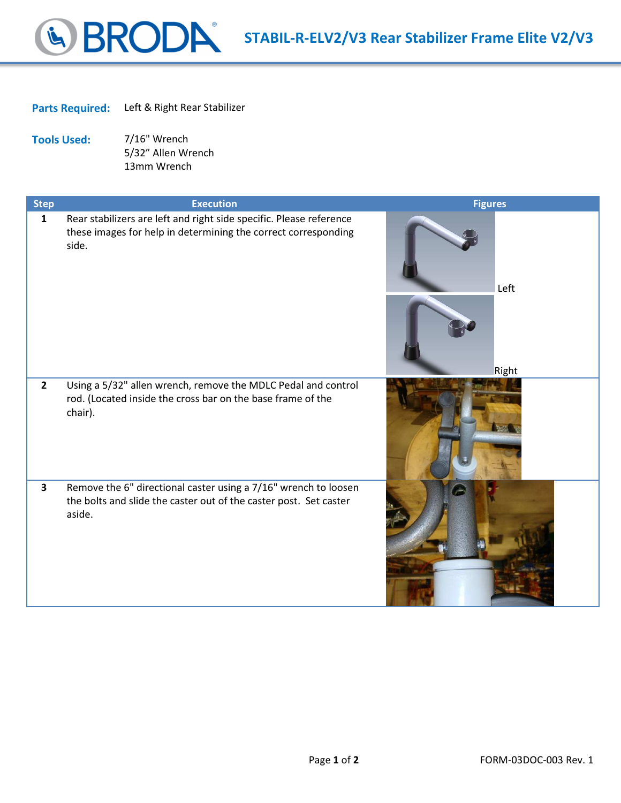## STABIL-R-ELV2/V3 Rear Stabilizer Frame Elite V2/V3

## Parts Required: Left & Right Rear Stabilizer

Tools Used: 7/16" Wrench 5/32" Allen Wrench 13mm Wrench

| <b>Step</b>    | <b>Execution</b>                                                                                                                               | <b>Figures</b> |
|----------------|------------------------------------------------------------------------------------------------------------------------------------------------|----------------|
| $\mathbf{1}$   | Rear stabilizers are left and right side specific. Please reference<br>these images for help in determining the correct corresponding<br>side. | Left<br>Right  |
| $\overline{2}$ | Using a 5/32" allen wrench, remove the MDLC Pedal and control<br>rod. (Located inside the cross bar on the base frame of the<br>chair).        |                |
| $\mathbf{3}$   | Remove the 6" directional caster using a 7/16" wrench to loosen<br>the bolts and slide the caster out of the caster post. Set caster<br>aside. |                |